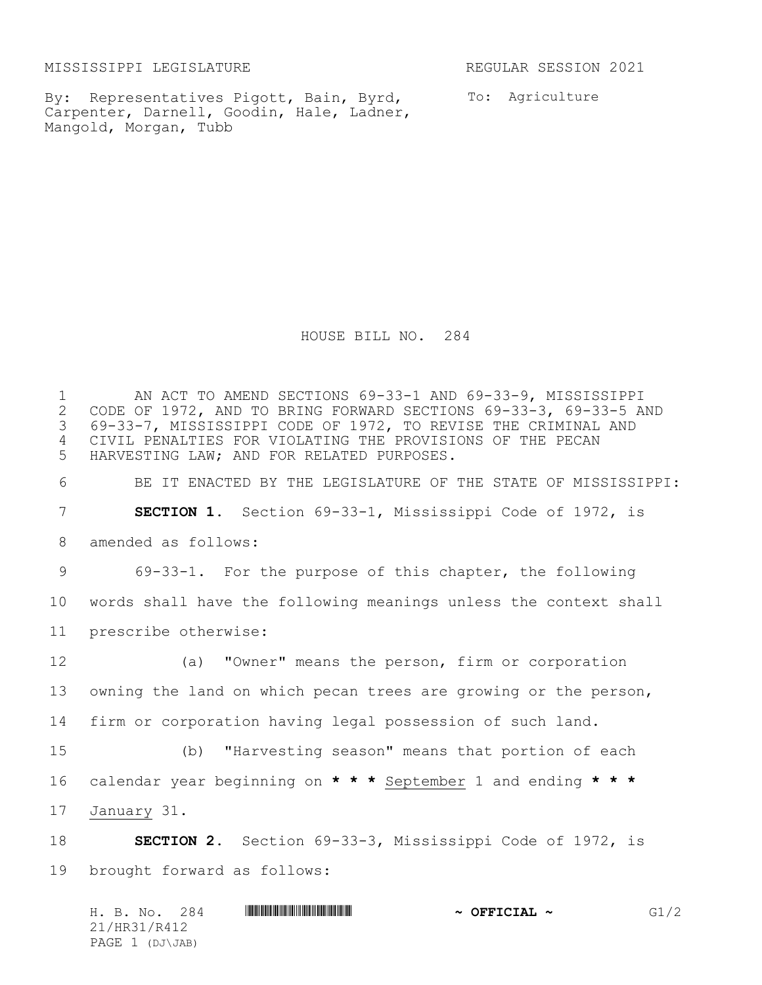MISSISSIPPI LEGISLATURE REGULAR SESSION 2021

By: Representatives Pigott, Bain, Byrd, Carpenter, Darnell, Goodin, Hale, Ladner, Mangold, Morgan, Tubb

To: Agriculture

HOUSE BILL NO. 284

1 AN ACT TO AMEND SECTIONS 69-33-1 AND 69-33-9, MISSISSIPPI<br>2 CODE OF 1972, AND TO BRING FORWARD SECTIONS 69-33-3, 69-33-5 AI 2 CODE OF 1972, AND TO BRING FORWARD SECTIONS 69-33-3, 69-33-5 AND<br>3 69-33-7, MISSISSIPPI CODE OF 1972, TO REVISE THE CRIMINAL AND 69-33-7, MISSISSIPPI CODE OF 1972, TO REVISE THE CRIMINAL AND CIVIL PENALTIES FOR VIOLATING THE PROVISIONS OF THE PECAN HARVESTING LAW; AND FOR RELATED PURPOSES. BE IT ENACTED BY THE LEGISLATURE OF THE STATE OF MISSISSIPPI: **SECTION 1.** Section 69-33-1, Mississippi Code of 1972, is amended as follows: 69-33-1. For the purpose of this chapter, the following words shall have the following meanings unless the context shall prescribe otherwise: (a) "Owner" means the person, firm or corporation owning the land on which pecan trees are growing or the person, firm or corporation having legal possession of such land. (b) "Harvesting season" means that portion of each calendar year beginning on **\* \* \*** September 1 and ending **\* \* \*** January 31. **SECTION 2.** Section 69-33-3, Mississippi Code of 1972, is brought forward as follows:

|              |  | H. B. No. 284   |  |  |  | $\sim$ OFFICIAL $\sim$ | G1/2 |
|--------------|--|-----------------|--|--|--|------------------------|------|
| 21/HR31/R412 |  |                 |  |  |  |                        |      |
|              |  | PAGE 1 (DJ\JAB) |  |  |  |                        |      |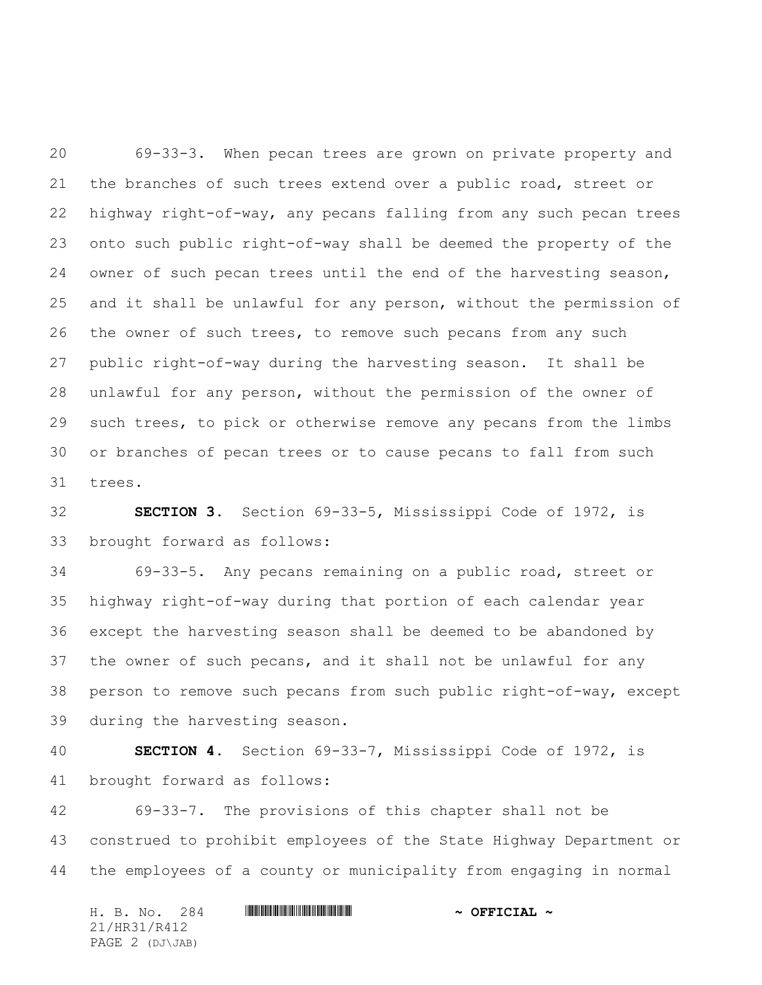69-33-3. When pecan trees are grown on private property and the branches of such trees extend over a public road, street or highway right-of-way, any pecans falling from any such pecan trees onto such public right-of-way shall be deemed the property of the owner of such pecan trees until the end of the harvesting season, and it shall be unlawful for any person, without the permission of the owner of such trees, to remove such pecans from any such public right-of-way during the harvesting season. It shall be unlawful for any person, without the permission of the owner of such trees, to pick or otherwise remove any pecans from the limbs or branches of pecan trees or to cause pecans to fall from such trees.

 **SECTION 3.** Section 69-33-5, Mississippi Code of 1972, is brought forward as follows:

 69-33-5. Any pecans remaining on a public road, street or highway right-of-way during that portion of each calendar year except the harvesting season shall be deemed to be abandoned by the owner of such pecans, and it shall not be unlawful for any person to remove such pecans from such public right-of-way, except during the harvesting season.

 **SECTION 4.** Section 69-33-7, Mississippi Code of 1972, is brought forward as follows:

 69-33-7. The provisions of this chapter shall not be construed to prohibit employees of the State Highway Department or the employees of a county or municipality from engaging in normal

H. B. No. 284 **HRANIAN RANGE AND A OFFICIAL ~** 21/HR31/R412 PAGE 2 (DJ\JAB)